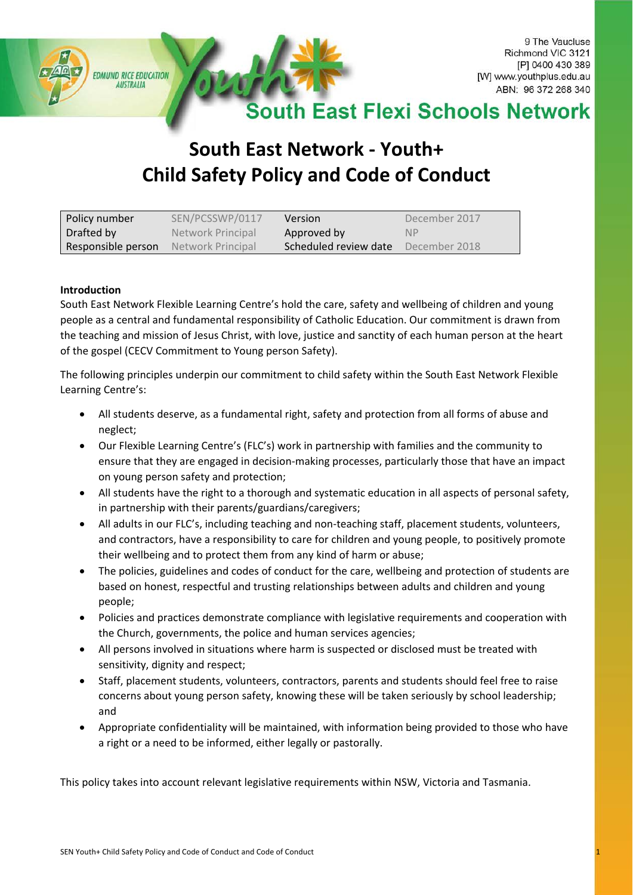

# **South East Network - Youth+ Child Safety Policy and Code of Conduct**

| Policy number      | SEN/PCSSWP/0117   | <b>Version</b>        | December 2017 |
|--------------------|-------------------|-----------------------|---------------|
| Drafted by         | Network Principal | Approved by           | <b>NP</b>     |
| Responsible person | Network Principal | Scheduled review date | December 2018 |

## **Introduction**

South East Network Flexible Learning Centre's hold the care, safety and wellbeing of children and young people as a central and fundamental responsibility of Catholic Education. Our commitment is drawn from the teaching and mission of Jesus Christ, with love, justice and sanctity of each human person at the heart of the gospel (CECV Commitment to Young person Safety).

The following principles underpin our commitment to child safety within the South East Network Flexible Learning Centre's:

- All students deserve, as a fundamental right, safety and protection from all forms of abuse and neglect;
- Our Flexible Learning Centre's (FLC's) work in partnership with families and the community to ensure that they are engaged in decision-making processes, particularly those that have an impact on young person safety and protection;
- All students have the right to a thorough and systematic education in all aspects of personal safety, in partnership with their parents/guardians/caregivers;
- All adults in our FLC's, including teaching and non-teaching staff, placement students, volunteers, and contractors, have a responsibility to care for children and young people, to positively promote their wellbeing and to protect them from any kind of harm or abuse;
- The policies, guidelines and codes of conduct for the care, wellbeing and protection of students are based on honest, respectful and trusting relationships between adults and children and young people;
- Policies and practices demonstrate compliance with legislative requirements and cooperation with the Church, governments, the police and human services agencies;
- All persons involved in situations where harm is suspected or disclosed must be treated with sensitivity, dignity and respect;
- Staff, placement students, volunteers, contractors, parents and students should feel free to raise concerns about young person safety, knowing these will be taken seriously by school leadership; and
- Appropriate confidentiality will be maintained, with information being provided to those who have a right or a need to be informed, either legally or pastorally.

This policy takes into account relevant legislative requirements within NSW, Victoria and Tasmania.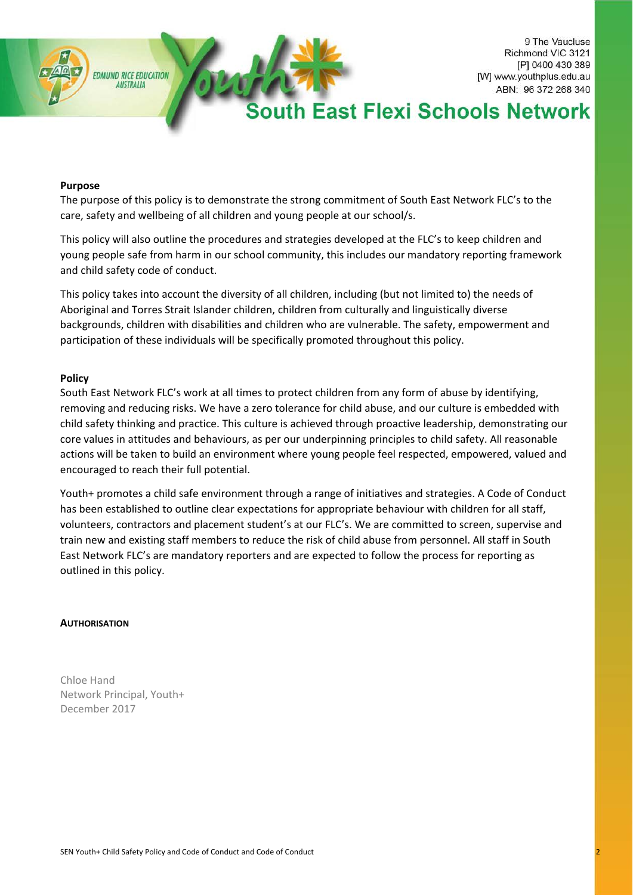

9 The Vaucluse Richmond VIC 3121 [P] 0400 430 389 [W] www.youthplus.edu.au ABN: 96 372 268 340

# th East Flexi Schools Network

#### **Purpose**

The purpose of this policy is to demonstrate the strong commitment of South East Network FLC's to the care, safety and wellbeing of all children and young people at our school/s.

This policy will also outline the procedures and strategies developed at the FLC's to keep children and young people safe from harm in our school community, this includes our mandatory reporting framework and child safety code of conduct.

This policy takes into account the diversity of all children, including (but not limited to) the needs of Aboriginal and Torres Strait Islander children, children from culturally and linguistically diverse backgrounds, children with disabilities and children who are vulnerable. The safety, empowerment and participation of these individuals will be specifically promoted throughout this policy.

#### **Policy**

South East Network FLC's work at all times to protect children from any form of abuse by identifying, removing and reducing risks. We have a zero tolerance for child abuse, and our culture is embedded with child safety thinking and practice. This culture is achieved through proactive leadership, demonstrating our core values in attitudes and behaviours, as per our underpinning principles to child safety. All reasonable actions will be taken to build an environment where young people feel respected, empowered, valued and encouraged to reach their full potential.

Youth+ promotes a child safe environment through a range of initiatives and strategies. A Code of Conduct has been established to outline clear expectations for appropriate behaviour with children for all staff, volunteers, contractors and placement student's at our FLC's. We are committed to screen, supervise and train new and existing staff members to reduce the risk of child abuse from personnel. All staff in South East Network FLC's are mandatory reporters and are expected to follow the process for reporting as outlined in this policy.

#### **AUTHORISATION**

Chloe Hand Network Principal, Youth+ December 2017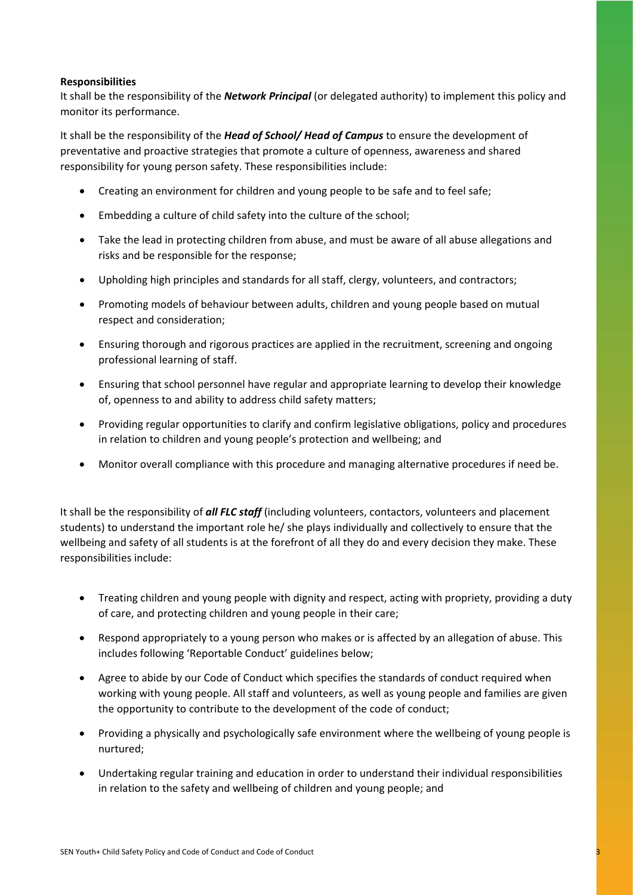## **Responsibilities**

It shall be the responsibility of the *Network Principal* (or delegated authority) to implement this policy and monitor its performance.

It shall be the responsibility of the *Head of School/ Head of Campus* to ensure the development of preventative and proactive strategies that promote a culture of openness, awareness and shared responsibility for young person safety. These responsibilities include:

- Creating an environment for children and young people to be safe and to feel safe;
- Embedding a culture of child safety into the culture of the school;
- Take the lead in protecting children from abuse, and must be aware of all abuse allegations and risks and be responsible for the response;
- Upholding high principles and standards for all staff, clergy, volunteers, and contractors;
- Promoting models of behaviour between adults, children and young people based on mutual respect and consideration;
- Ensuring thorough and rigorous practices are applied in the recruitment, screening and ongoing professional learning of staff.
- Ensuring that school personnel have regular and appropriate learning to develop their knowledge of, openness to and ability to address child safety matters;
- Providing regular opportunities to clarify and confirm legislative obligations, policy and procedures in relation to children and young people's protection and wellbeing; and
- Monitor overall compliance with this procedure and managing alternative procedures if need be.

It shall be the responsibility of *all FLC staff* (including volunteers, contactors, volunteers and placement students) to understand the important role he/ she plays individually and collectively to ensure that the wellbeing and safety of all students is at the forefront of all they do and every decision they make. These responsibilities include:

- Treating children and young people with dignity and respect, acting with propriety, providing a duty of care, and protecting children and young people in their care;
- Respond appropriately to a young person who makes or is affected by an allegation of abuse. This includes following 'Reportable Conduct' guidelines below;
- Agree to abide by our Code of Conduct which specifies the standards of conduct required when working with young people. All staff and volunteers, as well as young people and families are given the opportunity to contribute to the development of the code of conduct;
- Providing a physically and psychologically safe environment where the wellbeing of young people is nurtured;
- Undertaking regular training and education in order to understand their individual responsibilities in relation to the safety and wellbeing of children and young people; and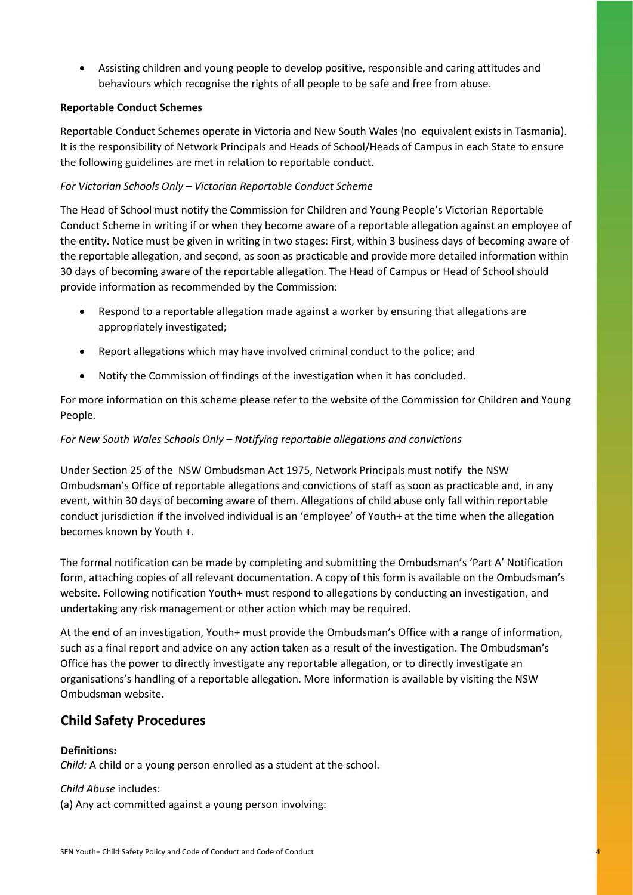• Assisting children and young people to develop positive, responsible and caring attitudes and behaviours which recognise the rights of all people to be safe and free from abuse.

## **Reportable Conduct Schemes**

Reportable Conduct Schemes operate in Victoria and New South Wales (no equivalent exists in Tasmania). It is the responsibility of Network Principals and Heads of School/Heads of Campus in each State to ensure the following guidelines are met in relation to reportable conduct.

## *For Victorian Schools Only – Victorian Reportable Conduct Scheme*

The Head of School must notify the Commission for Children and Young People's Victorian Reportable Conduct Scheme in writing if or when they become aware of a reportable allegation against an employee of the entity. Notice must be given in writing in two stages: First, within 3 business days of becoming aware of the reportable allegation, and second, as soon as practicable and provide more detailed information within 30 days of becoming aware of the reportable allegation. The Head of Campus or Head of School should provide information as recommended by the Commission:

- Respond to a reportable allegation made against a worker by ensuring that allegations are appropriately investigated;
- Report allegations which may have involved criminal conduct to the police; and
- Notify the Commission of findings of the investigation when it has concluded.

For more information on this scheme please refer to the website of the Commission for Children and Young People.

## *For New South Wales Schools Only – Notifying reportable allegations and convictions*

Under Section 25 of the NSW Ombudsman Act 1975, Network Principals must notify the NSW Ombudsman's Office of reportable allegations and convictions of staff as soon as practicable and, in any event, within 30 days of becoming aware of them. Allegations of child abuse only fall within reportable conduct jurisdiction if the involved individual is an 'employee' of Youth+ at the time when the allegation becomes known by Youth +.

The formal notification can be made by completing and submitting the Ombudsman's 'Part A' Notification form, attaching copies of all relevant documentation. A copy of this form is available on the Ombudsman's website. Following notification Youth+ must respond to allegations by conducting an investigation, and undertaking any risk management or other action which may be required.

At the end of an investigation, Youth+ must provide the Ombudsman's Office with a range of information, such as a final report and advice on any action taken as a result of the investigation. The Ombudsman's Office has the power to directly investigate any reportable allegation, or to directly investigate an organisations's handling of a reportable allegation. More information is available by visiting the NSW Ombudsman website.

# **Child Safety Procedures**

## **Definitions:**

*Child:* A child or a young person enrolled as a student at the school.

## *Child Abuse* includes:

(a) Any act committed against a young person involving: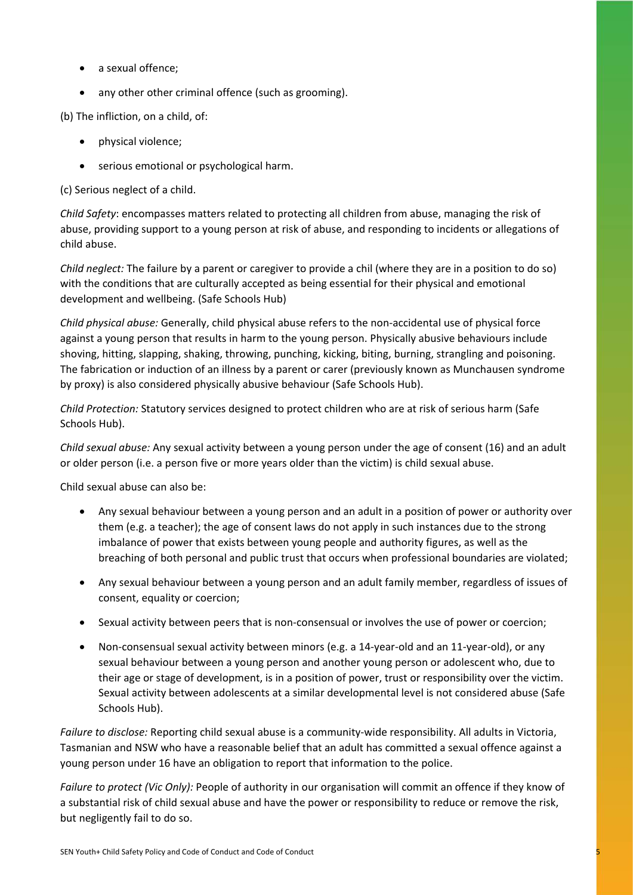- a sexual offence;
- any other other criminal offence (such as grooming).

(b) The infliction, on a child, of:

- physical violence;
- serious emotional or psychological harm.

(c) Serious neglect of a child.

*Child Safety*: encompasses matters related to protecting all children from abuse, managing the risk of abuse, providing support to a young person at risk of abuse, and responding to incidents or allegations of child abuse.

*Child neglect:* The failure by a parent or caregiver to provide a chil (where they are in a position to do so) with the conditions that are culturally accepted as being essential for their physical and emotional development and wellbeing. (Safe Schools Hub)

*Child physical abuse:* Generally, child physical abuse refers to the non-accidental use of physical force against a young person that results in harm to the young person. Physically abusive behaviours include shoving, hitting, slapping, shaking, throwing, punching, kicking, biting, burning, strangling and poisoning. The fabrication or induction of an illness by a parent or carer (previously known as Munchausen syndrome by proxy) is also considered physically abusive behaviour (Safe Schools Hub).

*Child Protection:* Statutory services designed to protect children who are at risk of serious harm (Safe Schools Hub).

*Child sexual abuse:* Any sexual activity between a young person under the age of consent (16) and an adult or older person (i.e. a person five or more years older than the victim) is child sexual abuse.

Child sexual abuse can also be:

- Any sexual behaviour between a young person and an adult in a position of power or authority over them (e.g. a teacher); the age of consent laws do not apply in such instances due to the strong imbalance of power that exists between young people and authority figures, as well as the breaching of both personal and public trust that occurs when professional boundaries are violated;
- Any sexual behaviour between a young person and an adult family member, regardless of issues of consent, equality or coercion;
- Sexual activity between peers that is non-consensual or involves the use of power or coercion;
- Non-consensual sexual activity between minors (e.g. a 14-year-old and an 11-year-old), or any sexual behaviour between a young person and another young person or adolescent who, due to their age or stage of development, is in a position of power, trust or responsibility over the victim. Sexual activity between adolescents at a similar developmental level is not considered abuse (Safe Schools Hub).

*Failure to disclose:* Reporting child sexual abuse is a community-wide responsibility. All adults in Victoria, Tasmanian and NSW who have a reasonable belief that an adult has committed a sexual offence against a young person under 16 have an obligation to report that information to the police.

*Failure to protect (Vic Only):* People of authority in our organisation will commit an offence if they know of a substantial risk of child sexual abuse and have the power or responsibility to reduce or remove the risk, but negligently fail to do so.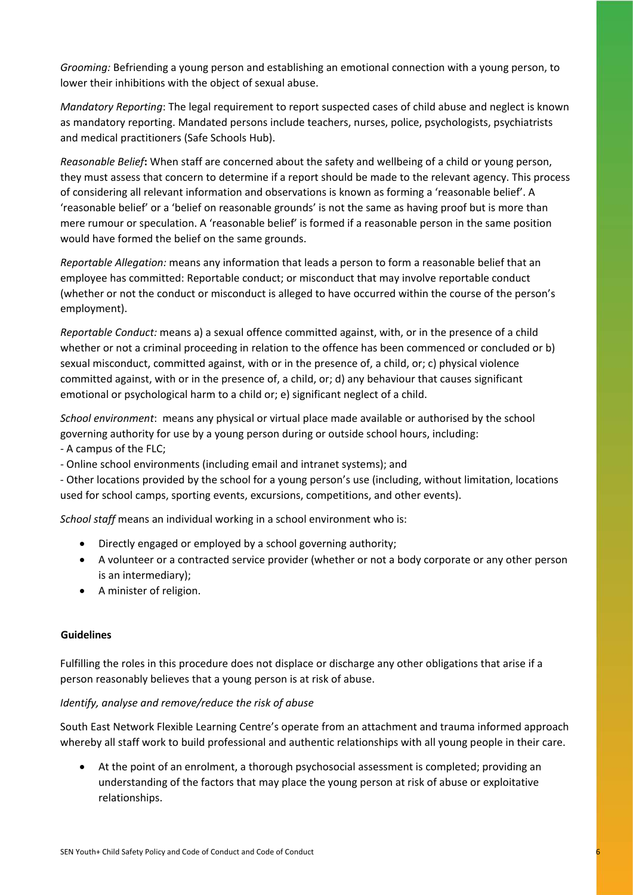*Grooming:* Befriending a young person and establishing an emotional connection with a young person, to lower their inhibitions with the object of sexual abuse.

*Mandatory Reporting*: The legal requirement to report suspected cases of child abuse and neglect is known as mandatory reporting. Mandated persons include teachers, nurses, police, psychologists, psychiatrists and medical practitioners (Safe Schools Hub).

*Reasonable Belief***:** When staff are concerned about the safety and wellbeing of a child or young person, they must assess that concern to determine if a report should be made to the relevant agency. This process of considering all relevant information and observations is known as forming a 'reasonable belief'. A 'reasonable belief' or a 'belief on reasonable grounds' is not the same as having proof but is more than mere rumour or speculation. A 'reasonable belief' is formed if a reasonable person in the same position would have formed the belief on the same grounds.

*Reportable Allegation:* means any information that leads a person to form a reasonable belief that an employee has committed: Reportable conduct; or misconduct that may involve reportable conduct (whether or not the conduct or misconduct is alleged to have occurred within the course of the person's employment).

*Reportable Conduct:* means a) a sexual offence committed against, with, or in the presence of a child whether or not a criminal proceeding in relation to the offence has been commenced or concluded or b) sexual misconduct, committed against, with or in the presence of, a child, or; c) physical violence committed against, with or in the presence of, a child, or; d) any behaviour that causes significant emotional or psychological harm to a child or; e) significant neglect of a child.

*School environment*: means any physical or virtual place made available or authorised by the school governing authority for use by a young person during or outside school hours, including:

- A campus of the FLC;
- Online school environments (including email and intranet systems); and

- Other locations provided by the school for a young person's use (including, without limitation, locations used for school camps, sporting events, excursions, competitions, and other events).

*School staff* means an individual working in a school environment who is:

- Directly engaged or employed by a school governing authority;
- A volunteer or a contracted service provider (whether or not a body corporate or any other person is an intermediary);
- A minister of religion.

## **Guidelines**

Fulfilling the roles in this procedure does not displace or discharge any other obligations that arise if a person reasonably believes that a young person is at risk of abuse.

## *Identify, analyse and remove/reduce the risk of abuse*

South East Network Flexible Learning Centre's operate from an attachment and trauma informed approach whereby all staff work to build professional and authentic relationships with all young people in their care.

• At the point of an enrolment, a thorough psychosocial assessment is completed; providing an understanding of the factors that may place the young person at risk of abuse or exploitative relationships.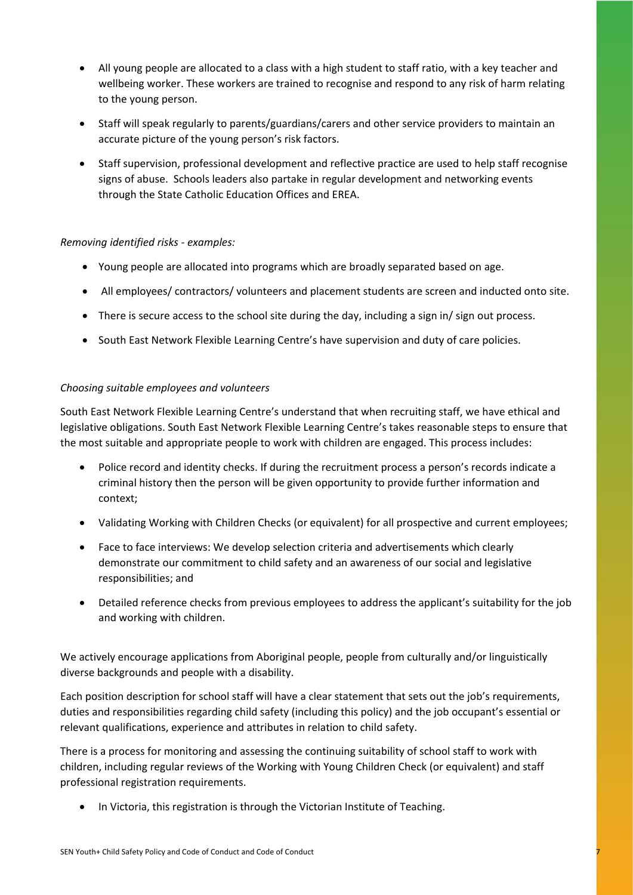- All young people are allocated to a class with a high student to staff ratio, with a key teacher and wellbeing worker. These workers are trained to recognise and respond to any risk of harm relating to the young person.
- Staff will speak regularly to parents/guardians/carers and other service providers to maintain an accurate picture of the young person's risk factors.
- Staff supervision, professional development and reflective practice are used to help staff recognise signs of abuse. Schools leaders also partake in regular development and networking events through the State Catholic Education Offices and EREA.

## *Removing identified risks - examples:*

- Young people are allocated into programs which are broadly separated based on age.
- All employees/ contractors/ volunteers and placement students are screen and inducted onto site.
- There is secure access to the school site during the day, including a sign in/ sign out process.
- South East Network Flexible Learning Centre's have supervision and duty of care policies.

## *Choosing suitable employees and volunteers*

South East Network Flexible Learning Centre's understand that when recruiting staff, we have ethical and legislative obligations. South East Network Flexible Learning Centre's takes reasonable steps to ensure that the most suitable and appropriate people to work with children are engaged. This process includes:

- Police record and identity checks. If during the recruitment process a person's records indicate a criminal history then the person will be given opportunity to provide further information and context;
- Validating Working with Children Checks (or equivalent) for all prospective and current employees;
- Face to face interviews: We develop selection criteria and advertisements which clearly demonstrate our commitment to child safety and an awareness of our social and legislative responsibilities; and
- Detailed reference checks from previous employees to address the applicant's suitability for the job and working with children.

We actively encourage applications from Aboriginal people, people from culturally and/or linguistically diverse backgrounds and people with a disability.

Each position description for school staff will have a clear statement that sets out the job's requirements, duties and responsibilities regarding child safety (including this policy) and the job occupant's essential or relevant qualifications, experience and attributes in relation to child safety.

There is a process for monitoring and assessing the continuing suitability of school staff to work with children, including regular reviews of the Working with Young Children Check (or equivalent) and staff professional registration requirements.

In Victoria, this registration is through the Victorian Institute of Teaching.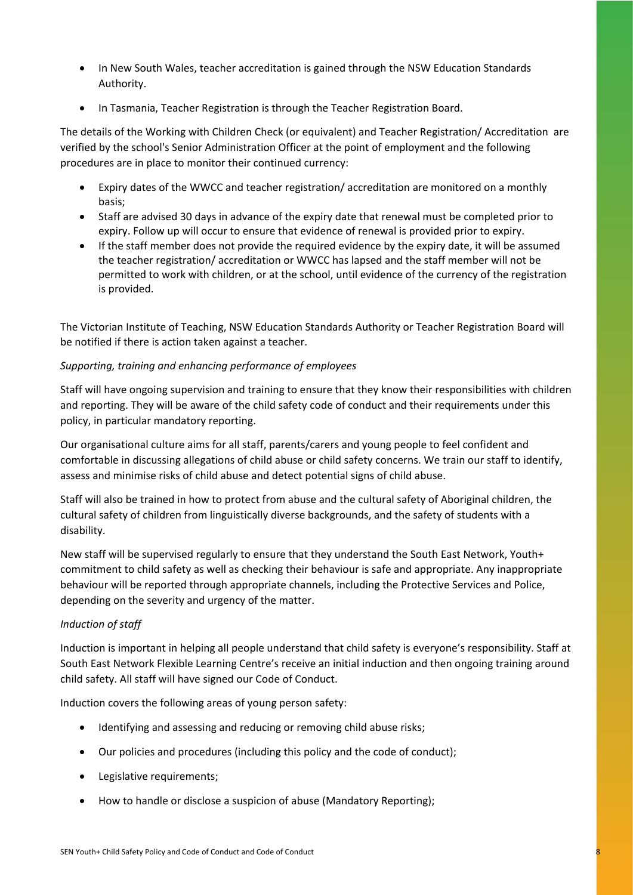- In New South Wales, teacher accreditation is gained through the NSW Education Standards Authority.
- In Tasmania, Teacher Registration is through the Teacher Registration Board.

The details of the Working with Children Check (or equivalent) and Teacher Registration/ Accreditation are verified by the school's Senior Administration Officer at the point of employment and the following procedures are in place to monitor their continued currency:

- Expiry dates of the WWCC and teacher registration/ accreditation are monitored on a monthly basis;
- Staff are advised 30 days in advance of the expiry date that renewal must be completed prior to expiry. Follow up will occur to ensure that evidence of renewal is provided prior to expiry.
- If the staff member does not provide the required evidence by the expiry date, it will be assumed the teacher registration/ accreditation or WWCC has lapsed and the staff member will not be permitted to work with children, or at the school, until evidence of the currency of the registration is provided.

The Victorian Institute of Teaching, NSW Education Standards Authority or Teacher Registration Board will be notified if there is action taken against a teacher.

# *Supporting, training and enhancing performance of employees*

Staff will have ongoing supervision and training to ensure that they know their responsibilities with children and reporting. They will be aware of the child safety code of conduct and their requirements under this policy, in particular mandatory reporting.

Our organisational culture aims for all staff, parents/carers and young people to feel confident and comfortable in discussing allegations of child abuse or child safety concerns. We train our staff to identify, assess and minimise risks of child abuse and detect potential signs of child abuse.

Staff will also be trained in how to protect from abuse and the cultural safety of Aboriginal children, the cultural safety of children from linguistically diverse backgrounds, and the safety of students with a disability.

New staff will be supervised regularly to ensure that they understand the South East Network, Youth+ commitment to child safety as well as checking their behaviour is safe and appropriate. Any inappropriate behaviour will be reported through appropriate channels, including the Protective Services and Police, depending on the severity and urgency of the matter.

## *Induction of staff*

Induction is important in helping all people understand that child safety is everyone's responsibility. Staff at South East Network Flexible Learning Centre's receive an initial induction and then ongoing training around child safety. All staff will have signed our Code of Conduct.

Induction covers the following areas of young person safety:

- Identifying and assessing and reducing or removing child abuse risks;
- Our policies and procedures (including this policy and the code of conduct);
- Legislative requirements;
- How to handle or disclose a suspicion of abuse (Mandatory Reporting);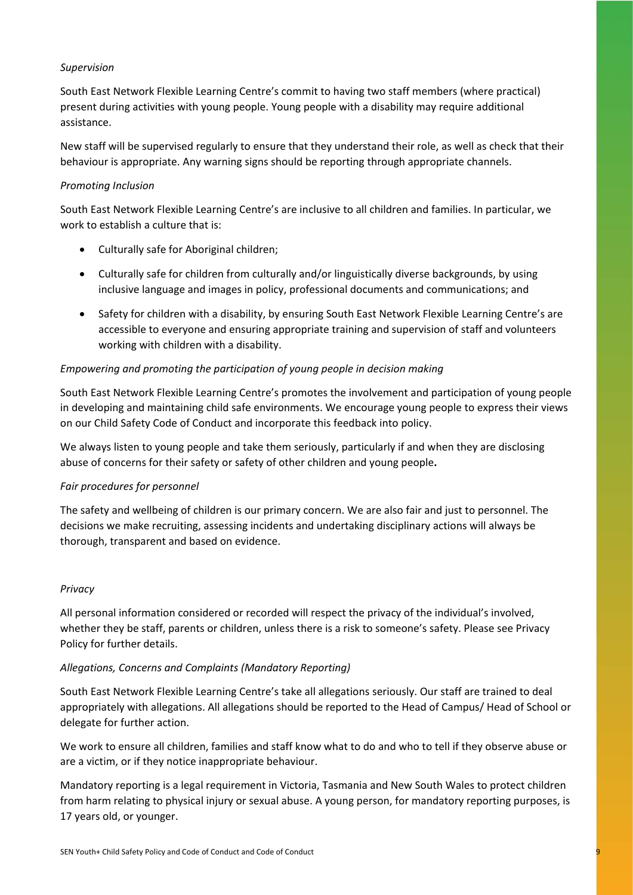## *Supervision*

South East Network Flexible Learning Centre's commit to having two staff members (where practical) present during activities with young people. Young people with a disability may require additional assistance.

New staff will be supervised regularly to ensure that they understand their role, as well as check that their behaviour is appropriate. Any warning signs should be reporting through appropriate channels.

## *Promoting Inclusion*

South East Network Flexible Learning Centre's are inclusive to all children and families. In particular, we work to establish a culture that is:

- Culturally safe for Aboriginal children;
- Culturally safe for children from culturally and/or linguistically diverse backgrounds, by using inclusive language and images in policy, professional documents and communications; and
- Safety for children with a disability, by ensuring South East Network Flexible Learning Centre's are accessible to everyone and ensuring appropriate training and supervision of staff and volunteers working with children with a disability.

## *Empowering and promoting the participation of young people in decision making*

South East Network Flexible Learning Centre's promotes the involvement and participation of young people in developing and maintaining child safe environments. We encourage young people to express their views on our Child Safety Code of Conduct and incorporate this feedback into policy.

We always listen to young people and take them seriously, particularly if and when they are disclosing abuse of concerns for their safety or safety of other children and young people**.**

## *Fair procedures for personnel*

The safety and wellbeing of children is our primary concern. We are also fair and just to personnel. The decisions we make recruiting, assessing incidents and undertaking disciplinary actions will always be thorough, transparent and based on evidence.

## *Privacy*

All personal information considered or recorded will respect the privacy of the individual's involved, whether they be staff, parents or children, unless there is a risk to someone's safety. Please see Privacy Policy for further details.

## *Allegations, Concerns and Complaints (Mandatory Reporting)*

South East Network Flexible Learning Centre's take all allegations seriously. Our staff are trained to deal appropriately with allegations. All allegations should be reported to the Head of Campus/ Head of School or delegate for further action.

We work to ensure all children, families and staff know what to do and who to tell if they observe abuse or are a victim, or if they notice inappropriate behaviour.

Mandatory reporting is a legal requirement in Victoria, Tasmania and New South Wales to protect children from harm relating to physical injury or sexual abuse. A young person, for mandatory reporting purposes, is 17 years old, or younger.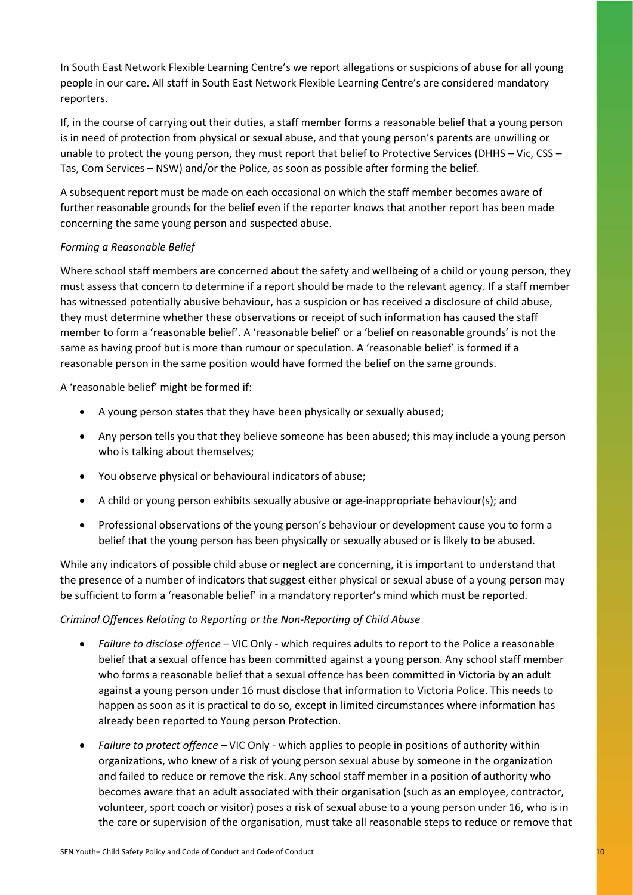In South East Network Flexible Learning Centre's we report allegations or suspicions of abuse for all young people in our care. All staff in South East Network Flexible Learning Centre's are considered mandatory reporters.

If, in the course of carrying out their duties, a staff member forms a reasonable belief that a young person is in need of protection from physical or sexual abuse, and that young person's parents are unwilling or unable to protect the young person, they must report that belief to Protective Services (DHHS – Vic, CSS – Tas, Com Services – NSW) and/or the Police, as soon as possible after forming the belief.

A subsequent report must be made on each occasional on which the staff member becomes aware of further reasonable grounds for the belief even if the reporter knows that another report has been made concerning the same young person and suspected abuse.

## *Forming a Reasonable Belief*

Where school staff members are concerned about the safety and wellbeing of a child or young person, they must assess that concern to determine if a report should be made to the relevant agency. If a staff member has witnessed potentially abusive behaviour, has a suspicion or has received a disclosure of child abuse, they must determine whether these observations or receipt of such information has caused the staff member to form a 'reasonable belief'. A 'reasonable belief' or a 'belief on reasonable grounds' is not the same as having proof but is more than rumour or speculation. A 'reasonable belief' is formed if a reasonable person in the same position would have formed the belief on the same grounds.

A 'reasonable belief' might be formed if:

- A young person states that they have been physically or sexually abused;
- Any person tells you that they believe someone has been abused; this may include a young person who is talking about themselves;
- You observe physical or behavioural indicators of abuse;
- A child or young person exhibits sexually abusive or age-inappropriate behaviour(s); and
- Professional observations of the young person's behaviour or development cause you to form a belief that the young person has been physically or sexually abused or is likely to be abused.

While any indicators of possible child abuse or neglect are concerning, it is important to understand that the presence of a number of indicators that suggest either physical or sexual abuse of a young person may be sufficient to form a 'reasonable belief' in a mandatory reporter's mind which must be reported.

## *Criminal Offences Relating to Reporting or the Non-Reporting of Child Abuse*

- *Failure to disclose offence* VIC Only which requires adults to report to the Police a reasonable belief that a sexual offence has been committed against a young person. Any school staff member who forms a reasonable belief that a sexual offence has been committed in Victoria by an adult against a young person under 16 must disclose that information to Victoria Police. This needs to happen as soon as it is practical to do so, except in limited circumstances where information has already been reported to Young person Protection.
- *Failure to protect offence –* VIC Only which applies to people in positions of authority within organizations, who knew of a risk of young person sexual abuse by someone in the organization and failed to reduce or remove the risk. Any school staff member in a position of authority who becomes aware that an adult associated with their organisation (such as an employee, contractor, volunteer, sport coach or visitor) poses a risk of sexual abuse to a young person under 16, who is in the care or supervision of the organisation, must take all reasonable steps to reduce or remove that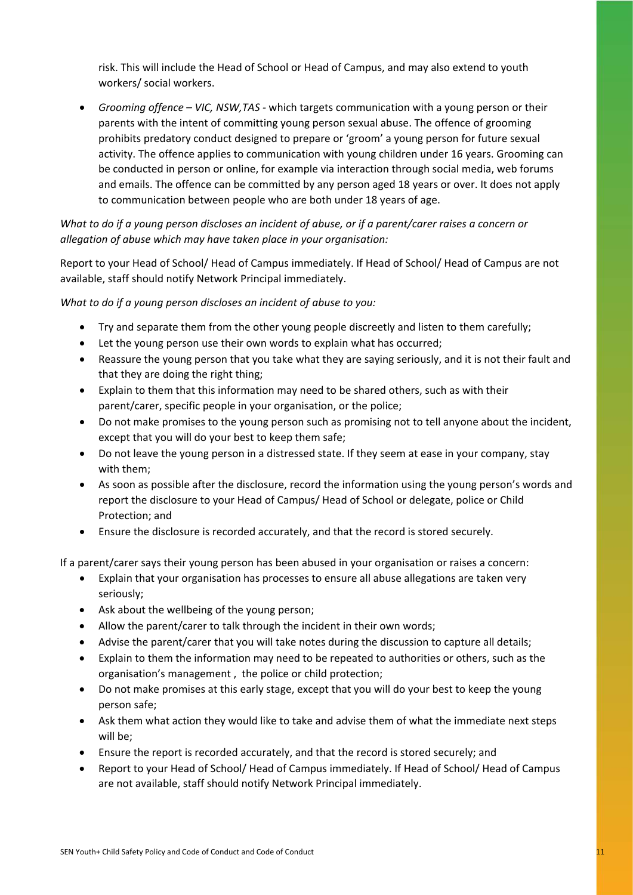risk. This will include the Head of School or Head of Campus, and may also extend to youth workers/ social workers.

• *Grooming offence – VIC, NSW,TAS -* which targets communication with a young person or their parents with the intent of committing young person sexual abuse. The offence of grooming prohibits predatory conduct designed to prepare or 'groom' a young person for future sexual activity. The offence applies to communication with young children under 16 years. Grooming can be conducted in person or online, for example via interaction through social media, web forums and emails. The offence can be committed by any person aged 18 years or over. It does not apply to communication between people who are both under 18 years of age.

# *What to do if a young person discloses an incident of abuse, or if a parent/carer raises a concern or allegation of abuse which may have taken place in your organisation:*

Report to your Head of School/ Head of Campus immediately. If Head of School/ Head of Campus are not available, staff should notify Network Principal immediately.

*What to do if a young person discloses an incident of abuse to you:*

- Try and separate them from the other young people discreetly and listen to them carefully;
- Let the young person use their own words to explain what has occurred;
- Reassure the young person that you take what they are saying seriously, and it is not their fault and that they are doing the right thing;
- Explain to them that this information may need to be shared others, such as with their parent/carer, specific people in your organisation, or the police;
- Do not make promises to the young person such as promising not to tell anyone about the incident, except that you will do your best to keep them safe;
- Do not leave the young person in a distressed state. If they seem at ease in your company, stay with them;
- As soon as possible after the disclosure, record the information using the young person's words and report the disclosure to your Head of Campus/ Head of School or delegate, police or Child Protection; and
- Ensure the disclosure is recorded accurately, and that the record is stored securely.

If a parent/carer says their young person has been abused in your organisation or raises a concern:

- Explain that your organisation has processes to ensure all abuse allegations are taken very seriously;
- Ask about the wellbeing of the young person;
- Allow the parent/carer to talk through the incident in their own words;
- Advise the parent/carer that you will take notes during the discussion to capture all details;
- Explain to them the information may need to be repeated to authorities or others, such as the organisation's management , the police or child protection;
- Do not make promises at this early stage, except that you will do your best to keep the young person safe;
- Ask them what action they would like to take and advise them of what the immediate next steps will be;
- Ensure the report is recorded accurately, and that the record is stored securely; and
- Report to your Head of School/ Head of Campus immediately. If Head of School/ Head of Campus are not available, staff should notify Network Principal immediately.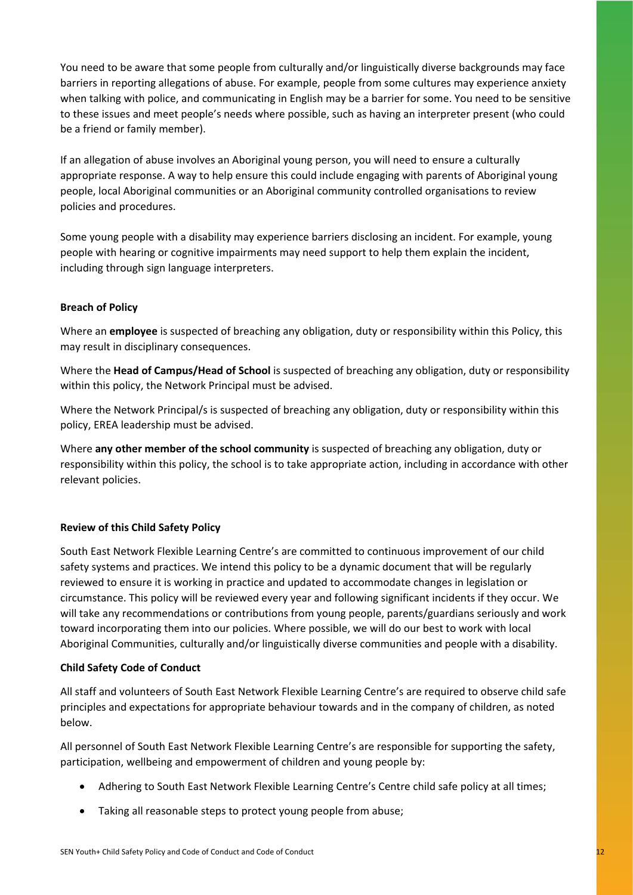You need to be aware that some people from culturally and/or linguistically diverse backgrounds may face barriers in reporting allegations of abuse. For example, people from some cultures may experience anxiety when talking with police, and communicating in English may be a barrier for some. You need to be sensitive to these issues and meet people's needs where possible, such as having an interpreter present (who could be a friend or family member).

If an allegation of abuse involves an Aboriginal young person, you will need to ensure a culturally appropriate response. A way to help ensure this could include engaging with parents of Aboriginal young people, local Aboriginal communities or an Aboriginal community controlled organisations to review policies and procedures.

Some young people with a disability may experience barriers disclosing an incident. For example, young people with hearing or cognitive impairments may need support to help them explain the incident, including through sign language interpreters.

## **Breach of Policy**

Where an **employee** is suspected of breaching any obligation, duty or responsibility within this Policy, this may result in disciplinary consequences.

Where the **Head of Campus/Head of School** is suspected of breaching any obligation, duty or responsibility within this policy, the Network Principal must be advised.

Where the Network Principal/s is suspected of breaching any obligation, duty or responsibility within this policy, EREA leadership must be advised.

Where **any other member of the school community** is suspected of breaching any obligation, duty or responsibility within this policy, the school is to take appropriate action, including in accordance with other relevant policies.

## **Review of this Child Safety Policy**

South East Network Flexible Learning Centre's are committed to continuous improvement of our child safety systems and practices. We intend this policy to be a dynamic document that will be regularly reviewed to ensure it is working in practice and updated to accommodate changes in legislation or circumstance. This policy will be reviewed every year and following significant incidents if they occur. We will take any recommendations or contributions from young people, parents/guardians seriously and work toward incorporating them into our policies. Where possible, we will do our best to work with local Aboriginal Communities, culturally and/or linguistically diverse communities and people with a disability.

## **Child Safety Code of Conduct**

All staff and volunteers of South East Network Flexible Learning Centre's are required to observe child safe principles and expectations for appropriate behaviour towards and in the company of children, as noted below.

All personnel of South East Network Flexible Learning Centre's are responsible for supporting the safety, participation, wellbeing and empowerment of children and young people by:

- Adhering to South East Network Flexible Learning Centre's Centre child safe policy at all times;
- Taking all reasonable steps to protect young people from abuse;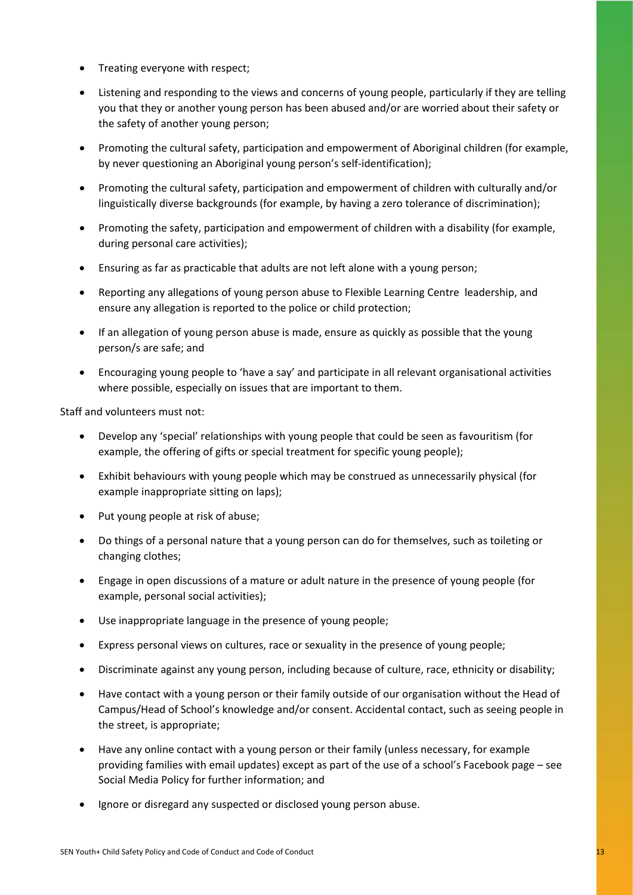- Treating everyone with respect;
- Listening and responding to the views and concerns of young people, particularly if they are telling you that they or another young person has been abused and/or are worried about their safety or the safety of another young person;
- Promoting the cultural safety, participation and empowerment of Aboriginal children (for example, by never questioning an Aboriginal young person's self-identification);
- Promoting the cultural safety, participation and empowerment of children with culturally and/or linguistically diverse backgrounds (for example, by having a zero tolerance of discrimination);
- Promoting the safety, participation and empowerment of children with a disability (for example, during personal care activities);
- Ensuring as far as practicable that adults are not left alone with a young person;
- Reporting any allegations of young person abuse to Flexible Learning Centre leadership, and ensure any allegation is reported to the police or child protection;
- If an allegation of young person abuse is made, ensure as quickly as possible that the young person/s are safe; and
- Encouraging young people to 'have a say' and participate in all relevant organisational activities where possible, especially on issues that are important to them.

Staff and volunteers must not:

- Develop any 'special' relationships with young people that could be seen as favouritism (for example, the offering of gifts or special treatment for specific young people);
- Exhibit behaviours with young people which may be construed as unnecessarily physical (for example inappropriate sitting on laps);
- Put young people at risk of abuse;
- Do things of a personal nature that a young person can do for themselves, such as toileting or changing clothes;
- Engage in open discussions of a mature or adult nature in the presence of young people (for example, personal social activities);
- Use inappropriate language in the presence of young people;
- Express personal views on cultures, race or sexuality in the presence of young people;
- Discriminate against any young person, including because of culture, race, ethnicity or disability;
- Have contact with a young person or their family outside of our organisation without the Head of Campus/Head of School's knowledge and/or consent. Accidental contact, such as seeing people in the street, is appropriate;
- Have any online contact with a young person or their family (unless necessary, for example providing families with email updates) except as part of the use of a school's Facebook page – see Social Media Policy for further information; and
- Ignore or disregard any suspected or disclosed young person abuse.